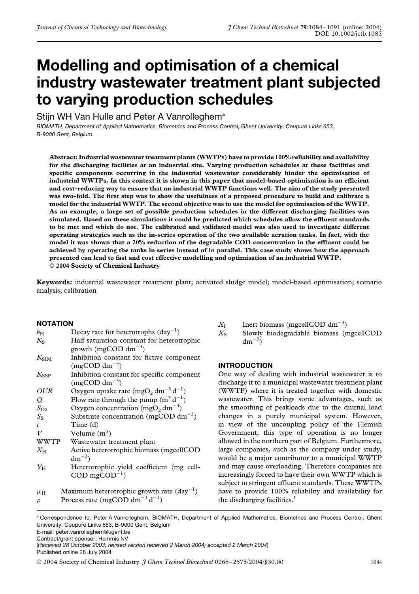# **Modelling and optimisation of a chemical industry wastewater treatment plant subjected to varying production schedules**

Stijn WH Van Hulle and Peter A Vanrolleghem<sup>∗</sup>

*BIOMATH, Department of Applied Mathematics, Biometrics and Process Control, Ghent University, Coupure Links 653, B-9000 Gent, Belgium*

**Abstract: Industrial wastewater treatment plants (WWTPs) have to provide 100% reliability and availability for the discharging facilities at an industrial site. Varying production schedules at these facilities and specific components occurring in the industrial wastewater considerably hinder the optimisation of industrial WWTPs. In this context it is shown in this paper that model-based optimisation is an efficient and cost-reducing way to ensure that an industrial WWTP functions well. The aim of the study presented was two-fold. The first step was to show the usefulness of a proposed procedure to build and calibrate a model for the industrial WWTP. The second objective was to use the model for optimisation of the WWTP. As an example, a large set of possible production schedules in the different discharging facilities was simulated. Based on these simulations it could be predicted which schedules allow the effluent standards to be met and which do not. The calibrated and validated model was also used to investigate different operating strategies such as the in-series operation of the two available aeration tanks. In fact, with the model it was shown that a 20% reduction of the degradable COD concentration in the effluent could be achieved by operating the tanks in series instead of in parallel. This case study shows how the approach presented can lead to fast and cost effective modelling and optimisation of an industrial WWTP. 2004 Society of Chemical Industry**

**Keywords:** industrial wastewater treatment plant; activated sludge model; model-based optimisation; scenario analysis; calibration

### **NOTATION**

| $b_{\rm H}$      | Decay rate for heterotrophs $(\text{day}^{-1})$                         |
|------------------|-------------------------------------------------------------------------|
| $K_{S}$          | Half saturation constant for heterotrophic                              |
|                  | growth (mgCOD dm <sup>-3</sup> )                                        |
| $K_{\text{SIM}}$ | Inhibition constant for fictive component                               |
|                  | $(mgCOD dm^{-3})$                                                       |
| $K_{\rm SSP}$    | Inhibition constant for specific component                              |
|                  | (mgCOD dm <sup><math>-3</math></sup> )                                  |
| <b>OUR</b>       | Oxygen uptake rate (mgO <sub>2</sub> dm <sup>-3</sup> d <sup>-1</sup> ) |
| $\mathcal{Q}$    | Flow rate through the pump $(m^3 d^{-1})$                               |
| $S_{O2}$         | Oxygen concentration $(mgO2 dm-3)$                                      |
| $S_{S}$          | Substrate concentration (mgCOD dm <sup><math>-3</math></sup> )          |
| $\mathcal{L}$    | Time (d)                                                                |
| V                | Volume $(m^3)$                                                          |
| <b>WWTP</b>      | Wastewater treatment plant                                              |
| $X_{\rm H}$      | Active heterotrophic biomass (mgcellCOD                                 |
|                  | $dm^{-3}$ )                                                             |
| $Y_{\rm H}$      | Heterotrophic yield coefficient (mg cell-                               |
|                  | $COD \text{ mg} COD^{-1}$                                               |
| $\mu_{\rm H}$    | Maximum heterotrophic growth rate $(\text{day}^{-1})$                   |
|                  |                                                                         |

*ρ* Process rate (mgCOD dm<sup>-3</sup> d<sup>-1</sup>)

- $X_{I}$  Inert biomass (mgcellCOD dm<sup>-3</sup>)
- $X<sub>S</sub>$  Slowly biodegradable biomass (mgcellCOD  $dm^{-3}$

### **INTRODUCTION**

One way of dealing with industrial wastewater is to discharge it to a municipal wastewater treatment plant (WWTP) where it is treated together with domestic wastewater. This brings some advantages, such as the smoothing of peakloads due to the diurnal load changes in a purely municipal system. However, in view of the uncoupling policy of the Flemish Government, this type of operation is no longer allowed in the northern part of Belgium. Furthermore, large companies, such as the company under study, would be a major contributor to a municipal WWTP and may cause overloading. Therefore companies are increasingly forced to have their own WWTP which is subject to stringent effluent standards. These WWTPs have to provide 100% reliability and availability for the discharging facilities.<sup>1</sup>

E-mail: peter.vanrolleghem@ugent.be

Contract/grant sponsor: Hemmis NV

(*Received 28 October 2003; revised version received 2 March 2004; accepted 2 March 2004*) Published online 28 July 2004

<sup>∗</sup> Correspondence to: Peter A Vanrolleghem, BIOMATH, Department of Applied Mathematics, Biometrics and Process Control, Ghent University, Coupure Links 653, B-9000 Gent, Belgium

2004 Society of Chemical Industry. *J Chem Technol Biotechnol* 0268–2575/2004/\$30.00 1084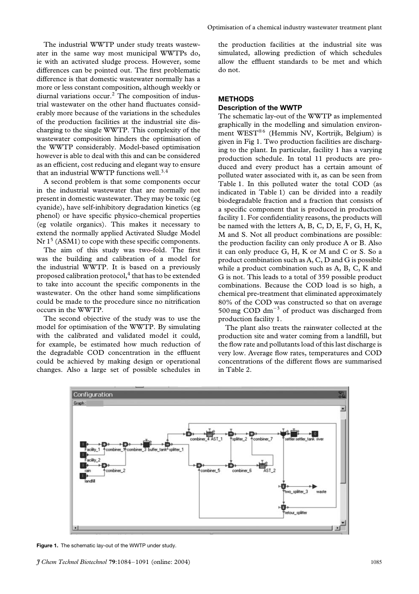The industrial WWTP under study treats wastewater in the same way most municipal WWTPs do, ie with an activated sludge process. However, some differences can be pointed out. The first problematic difference is that domestic wastewater normally has a more or less constant composition, although weekly or diurnal variations occur.<sup>2</sup> The composition of industrial wastewater on the other hand fluctuates considerably more because of the variations in the schedules of the production facilities at the industrial site discharging to the single WWTP. This complexity of the wastewater composition hinders the optimisation of the WWTP considerably. Model-based optimisation however is able to deal with this and can be considered as an efficient, cost reducing and elegant way to ensure that an industrial WWTP functions well.3*,*<sup>4</sup>

A second problem is that some components occur in the industrial wastewater that are normally not present in domestic wastewater. They may be toxic (eg cyanide), have self-inhibitory degradation kinetics (eg phenol) or have specific physico-chemical properties (eg volatile organics). This makes it necessary to extend the normally applied Activated Sludge Model  $Nr 1<sup>5</sup> (ASM1)$  to cope with these specific components.

The aim of this study was two-fold. The first was the building and calibration of a model for the industrial WWTP. It is based on a previously proposed calibration protocol,<sup>4</sup> that has to be extended to take into account the specific components in the wastewater. On the other hand some simplifications could be made to the procedure since no nitrification occurs in the WWTP.

The second objective of the study was to use the model for optimisation of the WWTP. By simulating with the calibrated and validated model it could, for example, be estimated how much reduction of the degradable COD concentration in the effluent could be achieved by making design or operational changes. Also a large set of possible schedules in

Optimisation of a chemical industry wastewater treatment plant

the production facilities at the industrial site was simulated, allowing prediction of which schedules allow the effluent standards to be met and which do not.

## **METHODS**

### **Description of the WWTP**

The schematic lay-out of the WWTP as implemented graphically in the modelling and simulation environment WEST<sup>®6</sup> (Hemmis NV, Kortrijk, Belgium) is given in Fig 1. Two production facilities are discharging to the plant. In particular, facility 1 has a varying production schedule. In total 11 products are produced and every product has a certain amount of polluted water associated with it, as can be seen from Table 1. In this polluted water the total COD (as indicated in Table 1) can be divided into a readily biodegradable fraction and a fraction that consists of a specific component that is produced in production facility 1. For confidentiality reasons, the products will be named with the letters A, B, C, D, E, F, G, H, K, M and S. Not all product combinations are possible: the production facility can only produce A or B. Also it can only produce G, H, K or M and C or S. So a product combination such as A, C, D and G is possible while a product combination such as A, B, C, K and G is not. This leads to a total of 359 possible product combinations. Because the COD load is so high, a chemical pre-treatment that eliminated approximately 80% of the COD was constructed so that on average 500 mg COD dm<sup> $-3$ </sup> of product was discharged from production facility 1.

The plant also treats the rainwater collected at the production site and water coming from a landfill, but the flow rate and pollutants load of this last discharge is very low. Average flow rates, temperatures and COD concentrations of the different flows are summarised in Table 2.



**Figure 1.** The schematic lay-out of the WWTP under study.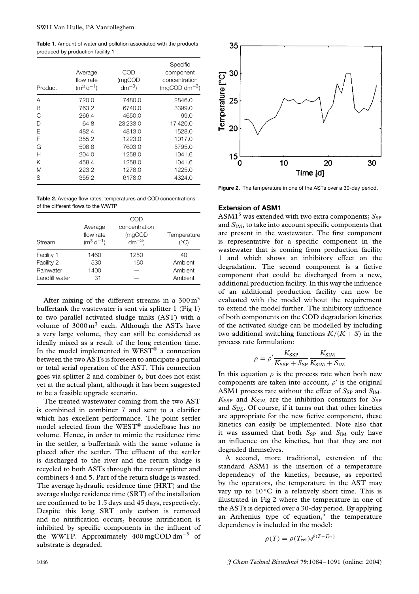**Table 1.** Amount of water and pollution associated with the products produced by production facility 1

| Product | Average<br>flow rate<br>$(m^3 d^{-1})$ | COD<br>(mgCOD<br>$dm^{-3}$ | Specific<br>component<br>concentration<br>$(mqCOD dm^{-3})$ |
|---------|----------------------------------------|----------------------------|-------------------------------------------------------------|
| A       | 720.0                                  | 7480.0                     | 2846.0                                                      |
| B       | 763.2                                  | 6740.0                     | 3399.0                                                      |
| C       | 266.4                                  | 4650.0                     | 99.0                                                        |
| D       | 64.8                                   | 23233.0                    | 17420.0                                                     |
| F       | 482.4                                  | 4813.0                     | 1528.0                                                      |
| F       | 355.2                                  | 1223.0                     | 1017.0                                                      |
| G       | 508.8                                  | 7603.0                     | 5795.0                                                      |
| Н       | 204.0                                  | 1258.0                     | 1041.6                                                      |
| Κ       | 458.4                                  | 1258.0                     | 1041.6                                                      |
| M       | 223.2                                  | 1278.0                     | 1225.0                                                      |
| S       | 355.2                                  | 6178.0                     | 4324.0                                                      |

**Table 2.** Average flow rates, temperatures and COD concentrations of the different flows to the WWTP

| Stream         | Average<br>flow rate<br>$(m^3 d^{-1})$ | COD<br>concentration<br>(mgCOD<br>$dm^{-3}$ | Temperature<br>(°C) |
|----------------|----------------------------------------|---------------------------------------------|---------------------|
| Facility 1     | 1460                                   | 1250                                        | 40                  |
| Facility 2     | 530                                    | 160                                         | Ambient             |
| Rainwater      | 1400                                   |                                             | Ambient             |
| Landfill water | 31                                     |                                             | Ambient             |

After mixing of the different streams in a  $300 \text{ m}^3$ buffertank the wastewater is sent via splitter 1 (Fig 1) to two parallel activated sludge tanks (AST) with a volume of  $3000 \text{ m}^3$  each. Although the ASTs have a very large volume, they can still be considered as ideally mixed as a result of the long retention time. In the model implemented in  $WEST^@$  a connection between the two ASTs is foreseen to anticipate a partial or total serial operation of the AST. This connection goes via splitter 2 and combiner 6, but does not exist yet at the actual plant, although it has been suggested to be a feasible upgrade scenario.

The treated wastewater coming from the two AST is combined in combiner 7 and sent to a clarifier which has excellent performance. The point settler model selected from the WEST® modelbase has no volume. Hence, in order to mimic the residence time in the settler, a buffertank with the same volume is placed after the settler. The effluent of the settler is discharged to the river and the return sludge is recycled to both ASTs through the retour splitter and combiners 4 and 5. Part of the return sludge is wasted. The average hydraulic residence time (HRT) and the average sludge residence time (SRT) of the installation are confirmed to be 1.5 days and 45 days, respectively. Despite this long SRT only carbon is removed and no nitrification occurs, because nitrification is inhibited by specific components in the influent of the WWTP. Approximately  $400 \text{ mgCOD dm}^{-3}$  of substrate is degraded.



**Figure 2.** The temperature in one of the ASTs over a 30-day period.

### **Extension of ASM1**

ASM1<sup>5</sup> was extended with two extra components;  $S_{SP}$ and *S*IM, to take into account specific components that are present in the wastewater. The first component is representative for a specific component in the wastewater that is coming from production facility 1 and which shows an inhibitory effect on the degradation. The second component is a fictive component that could be discharged from a new, additional production facility. In this way the influence of an additional production facility can now be evaluated with the model without the requirement to extend the model further. The inhibitory influence of both components on the COD degradation kinetics of the activated sludge can be modelled by including two additional switching functions  $K/(K+S)$  in the process rate formulation:

$$
\rho = \rho' \frac{K_{\rm SSP}}{K_{\rm SSP} + S_{\rm SP}} \frac{K_{\rm SIM}}{K_{\rm SIM} + S_{\rm IM}}
$$

In this equation  $\rho$  is the process rate when both new components are taken into account,  $\rho'$  is the original ASM1 process rate without the effect of  $S_{SP}$  and  $S_{IM}$ .  $K_{\rm SSP}$  and  $K_{\rm SIM}$  are the inhibition constants for  $S_{\rm SP}$ and *S*<sub>IM</sub>. Of course, if it turns out that other kinetics are appropriate for the new fictive component, these kinetics can easily be implemented. Note also that it was assumed that both *S*<sub>SP</sub> and *S*<sub>IM</sub> only have an influence on the kinetics, but that they are not degraded themselves.

A second, more traditional, extension of the standard ASM1 is the insertion of a temperature dependency of the kinetics, because, as reported by the operators, the temperature in the AST may vary up to  $10^{\circ}$ C in a relatively short time. This is illustrated in Fig 2 where the temperature in one of the ASTs is depicted over a 30-day period. By applying an Arrhenius type of equation, $5$  the temperature dependency is included in the model:

$$
\rho(T) = \rho(T_{\text{ref}})e^{\theta(T - T_{\text{ref}})}
$$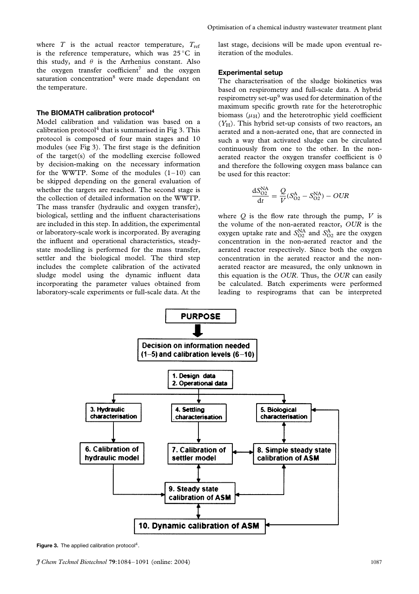where  $T$  is the actual reactor temperature,  $T_{ref}$ is the reference temperature, which was  $25^{\circ}$ C in this study, and  $\theta$  is the Arrhenius constant. Also the oxygen transfer coefficient<sup>7</sup> and the oxygen saturation concentration<sup>8</sup> were made dependant on the temperature.

### **The BIOMATH calibration protocol<sup>4</sup>**

Model calibration and validation was based on a calibration protocol<sup>4</sup> that is summarised in Fig 3. This protocol is composed of four main stages and 10 modules (see Fig 3). The first stage is the definition of the target(s) of the modelling exercise followed by decision-making on the necessary information for the WWTP. Some of the modules  $(1-10)$  can be skipped depending on the general evaluation of whether the targets are reached. The second stage is the collection of detailed information on the WWTP. The mass transfer (hydraulic and oxygen transfer), biological, settling and the influent characterisations are included in this step. In addition, the experimental or laboratory-scale work is incorporated. By averaging the influent and operational characteristics, steadystate modelling is performed for the mass transfer, settler and the biological model. The third step includes the complete calibration of the activated sludge model using the dynamic influent data incorporating the parameter values obtained from laboratory-scale experiments or full-scale data. At the last stage, decisions will be made upon eventual reiteration of the modules.

### **Experimental setup**

The characterisation of the sludge biokinetics was based on respirometry and full-scale data. A hybrid respirometry set-up<sup>9</sup> was used for determination of the maximum specific growth rate for the heterotrophic biomass  $(\mu_H)$  and the heterotrophic yield coefficient (*Y*H). This hybrid set-up consists of two reactors, an aerated and a non-aerated one, that are connected in such a way that activated sludge can be circulated continuously from one to the other. In the nonaerated reactor the oxygen transfer coefficient is 0 and therefore the following oxygen mass balance can be used for this reactor:

$$
\frac{dS_{O2}^{NA}}{dt} = \frac{Q}{V}(S_{O2}^{A} - S_{O2}^{NA}) - OUR
$$

where  $Q$  is the flow rate through the pump,  $V$  is the volume of the non-aerated reactor, *OUR* is the oxygen uptake rate and  $S_{O2}^{NA}$  and  $S_{O2}^{A}$  are the oxygen concentration in the non-aerated reactor and the aerated reactor respectively. Since both the oxygen concentration in the aerated reactor and the nonaerated reactor are measured, the only unknown in this equation is the *OUR*. Thus, the *OUR* can easily be calculated. Batch experiments were performed leading to respirograms that can be interpreted



Figure 3. The applied calibration protocol<sup>4</sup>.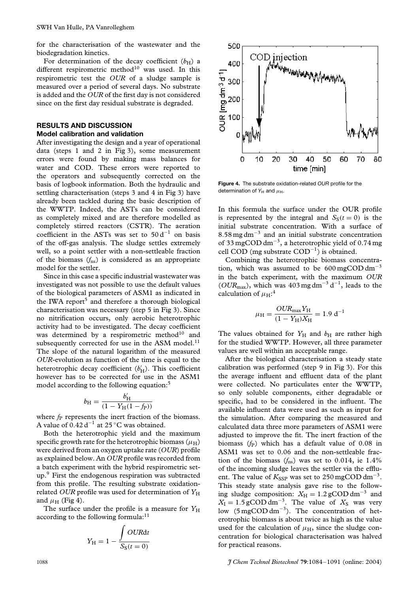for the characterisation of the wastewater and the biodegradation kinetics.

For determination of the decay coefficient  $(b_H)$  a different respirometric method $10$  was used. In this respirometric test the *OUR* of a sludge sample is measured over a period of several days. No substrate is added and the *OUR* of the first day is not considered since on the first day residual substrate is degraded.

# **RESULTS AND DISCUSSION**

### **Model calibration and validation**

After investigating the design and a year of operational data (steps 1 and 2 in Fig 3), some measurement errors were found by making mass balances for water and COD. These errors were reported to the operators and subsequently corrected on the basis of logbook information. Both the hydraulic and settling characterisation (steps 3 and 4 in Fig 3) have already been tackled during the basic description of the WWTP. Indeed, the ASTs can be considered as completely mixed and are therefore modelled as completely stirred reactors (CSTR). The aeration coefficient in the ASTs was set to  $50 d^{-1}$  on basis of the off-gas analysis. The sludge settles extremely well, so a point settler with a non-settleable fraction of the biomass (*f*ns) is considered as an appropriate model for the settler.

Since in this case a specific industrial wastewater was investigated was not possible to use the default values of the biological parameters of ASM1 as indicated in the IWA report<sup>5</sup> and therefore a thorough biological characterisation was necessary (step 5 in Fig 3). Since no nitrification occurs, only aerobic heterotrophic activity had to be investigated. The decay coefficient was determined by a respirometric method<sup>10</sup> and subsequently corrected for use in the ASM model.<sup>11</sup> The slope of the natural logarithm of the measured *OUR*-evolution as function of the time is equal to the heterotrophic decay coefficient (*b'*<sub>H</sub>). This coefficient however has to be corrected for use in the ASM1 model according to the following equation:<sup>5</sup>

$$
b_{\rm H} = \frac{b'_{\rm H}}{(1 - Y_{\rm H}(1 - f_{\rm P}))}
$$

where  $f<sub>P</sub>$  represents the inert fraction of the biomass. A value of 0*.*42 d−<sup>1</sup> at 25 ◦C was obtained.

Both the heterotrophic yield and the maximum specific growth rate for the heterotrophic biomass  $(\mu_H)$ were derived from an oxygen uptake rate (*OUR*) profile as explained below. An *OUR* profile was recorded from a batch experiment with the hybrid respirometric setup.9 First the endogenous respiration was subtracted from this profile. The resulting substrate oxidationrelated *OUR* profile was used for determination of  $Y_H$ and  $\mu$ <sub>H</sub> (Fig 4).

The surface under the profile is a measure for  $Y_H$ according to the following formula:<sup>11</sup>

$$
Y_{\rm H} = 1 - \frac{\int OURdt}{S_{\rm S}(t=0)}
$$



**Figure 4.** The substrate oxidation-related *OUR* profile for the determination of  $Y_H$  and  $\mu_H$ .

In this formula the surface under the OUR profile is represented by the integral and  $S<sub>S</sub>(t = 0)$  is the initial substrate concentration. With a surface of 8*.*58 mg dm−<sup>3</sup> and an initial substrate concentration of 33 mgCOD dm−3, a heterotrophic yield of 0.74 mg cell COD (mg substrate  $COD^{-1}$ ) is obtained.

Combining the heterotrophic biomass concentration, which was assumed to be  $600 \text{ mgCOD dm}^{-3}$ in the batch experiment, with the maximum *OUR* (*OUR*max), which was 403 mg dm−<sup>3</sup> d−1, leads to the calculation of  $\mu_{\rm H}$ :<sup>4</sup>

$$
\mu_{\rm H} = \frac{OUR_{\rm max}Y_{\rm H}}{(1 - Y_{\rm H})X_{\rm H}} = 1.9 \text{ d}^{-1}
$$

The values obtained for  $Y_H$  and  $b_H$  are rather high for the studied WWTP. However, all three parameter values are well within an acceptable range.

After the biological characterisation a steady state calibration was performed (step 9 in Fig 3). For this the average influent and effluent data of the plant were collected. No particulates enter the WWTP, so only soluble components, either degradable or specific, had to be considered in the influent. The available influent data were used as such as input for the simulation. After comparing the measured and calculated data three more parameters of ASM1 were adjusted to improve the fit. The inert fraction of the biomass (*f*<sub>P</sub>) which has a default value of 0.08 in ASM1 was set to 0.06 and the non-settleable fraction of the biomass  $(f_{ns})$  was set to 0.014, ie 1.4% of the incoming sludge leaves the settler via the effluent. The value of  $K_{\text{SSP}}$  was set to 250 mgCOD dm<sup>-3</sup>. This steady state analysis gave rise to the following sludge composition:  $X_H = 1.2$  gCOD dm<sup>-3</sup> and  $X_{\text{I}} = 1.5 \text{ g} \text{COD dm}^{-3}$ . The value of  $X_{\text{S}}$  was very low (5 mgCOD dm−3). The concentration of heterotrophic biomass is about twice as high as the value used for the calculation of  $\mu$ <sub>H</sub>, since the sludge concentration for biological characterisation was halved for practical reasons.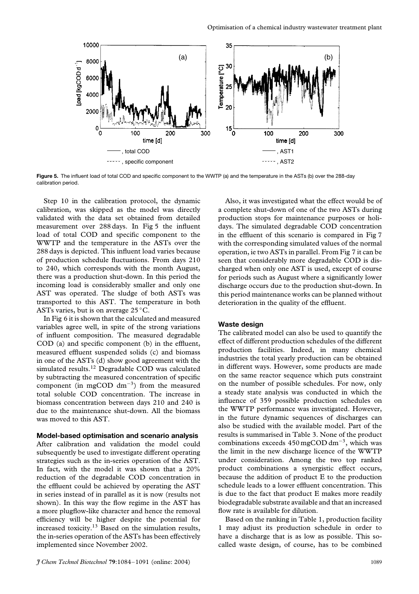

Figure 5. The influent load of total COD and specific component to the WWTP (a) and the temperature in the ASTs (b) over the 288-day calibration period.

Step 10 in the calibration protocol, the dynamic calibration, was skipped as the model was directly validated with the data set obtained from detailed measurement over 288 days. In Fig 5 the influent load of total COD and specific component to the WWTP and the temperature in the ASTs over the 288 days is depicted. This influent load varies because of production schedule fluctuations. From days 210 to 240, which corresponds with the month August, there was a production shut-down. In this period the incoming load is considerably smaller and only one AST was operated. The sludge of both ASTs was transported to this AST. The temperature in both ASTs varies, but is on average  $25^{\circ}$ C.

In Fig 6 it is shown that the calculated and measured variables agree well, in spite of the strong variations of influent composition. The measured degradable COD (a) and specific component (b) in the effluent, measured effluent suspended solids (c) and biomass in one of the ASTs (d) show good agreement with the simulated results.<sup>12</sup> Degradable COD was calculated by subtracting the measured concentration of specific component (in mgCOD dm<sup>-3</sup>) from the measured total soluble COD concentration. The increase in biomass concentration between days 210 and 240 is due to the maintenance shut-down. All the biomass was moved to this AST.

### **Model-based optimisation and scenario analysis**

After calibration and validation the model could subsequently be used to investigate different operating strategies such as the in-series operation of the AST. In fact, with the model it was shown that a 20% reduction of the degradable COD concentration in the effluent could be achieved by operating the AST in series instead of in parallel as it is now (results not shown). In this way the flow regime in the AST has a more plugflow-like character and hence the removal efficiency will be higher despite the potential for increased toxicity.13 Based on the simulation results, the in-series operation of the ASTs has been effectively implemented since November 2002.

Also, it was investigated what the effect would be of a complete shut-down of one of the two ASTs during production stops for maintenance purposes or holidays. The simulated degradable COD concentration in the effluent of this scenario is compared in Fig 7 with the corresponding simulated values of the normal operation, ie two ASTs in parallel. From Fig 7 it can be seen that considerably more degradable COD is discharged when only one AST is used, except of course for periods such as August where a significantly lower discharge occurs due to the production shut-down. In this period maintenance works can be planned without deterioration in the quality of the effluent.

### **Waste design**

The calibrated model can also be used to quantify the effect of different production schedules of the different production facilities. Indeed, in many chemical industries the total yearly production can be obtained in different ways. However, some products are made on the same reactor sequence which puts constraint on the number of possible schedules. For now, only a steady state analysis was conducted in which the influence of 359 possible production schedules on the WWTP performance was investigated. However, in the future dynamic sequences of discharges can also be studied with the available model. Part of the results is summarised in Table 3. None of the product combinations exceeds  $450 \text{ mgCOD dm}^{-3}$ , which was the limit in the new discharge licence of the WWTP under consideration. Among the two top ranked product combinations a synergistic effect occurs, because the addition of product E to the production schedule leads to a lower effluent concentration. This is due to the fact that product E makes more readily biodegradable substrate available and that an increased flow rate is available for dilution.

Based on the ranking in Table 1, production facility 1 may adjust its production schedule in order to have a discharge that is as low as possible. This socalled waste design, of course, has to be combined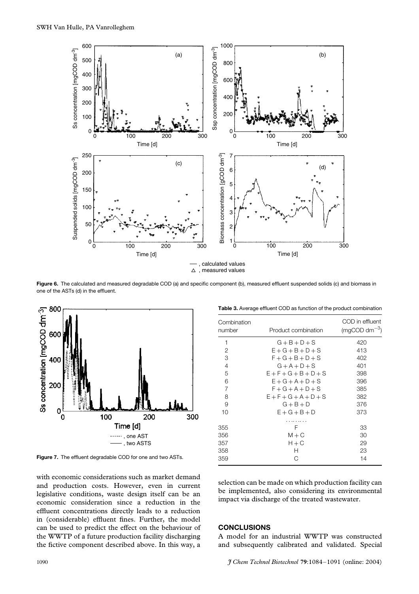

**Figure 6.** The calculated and measured degradable COD (a) and specific component (b), measured effluent suspended solids (c) and biomass in one of the ASTs (d) in the effluent.



**Figure 7.** The effluent degradable COD for one and two ASTs.

with economic considerations such as market demand and production costs. However, even in current legislative conditions, waste design itself can be an economic consideration since a reduction in the effluent concentrations directly leads to a reduction in (considerable) effluent fines. Further, the model can be used to predict the effect on the behaviour of the WWTP of a future production facility discharging the fictive component described above. In this way, a

| Table 3. Average effluent COD as function of the product combination |  |  |  |
|----------------------------------------------------------------------|--|--|--|

| Combination<br>number | Product combination     | COD in effluent<br>$(mqCOD dm-3)$ |
|-----------------------|-------------------------|-----------------------------------|
| 1                     | $G + B + D + S$         | 420                               |
| 2                     | $E+G+B+D+S$             | 413                               |
| 3                     | $F+G+B+D+S$             | 402                               |
| 4                     | $G + A + D + S$         | 401                               |
| 5                     | $E + F + G + B + D + S$ | 398                               |
| 6                     | $E+G+A+D+S$             | 396                               |
| $\overline{7}$        | $F+G+A+D+S$             | 385                               |
| 8                     | $E + F + G + A + D + S$ | 382                               |
| 9                     | $G + B + D$             | 376                               |
| 10                    | $E+G+B+D$               | 373                               |
| 355                   | F                       | 33                                |
| 356                   | $M + C$                 | 30                                |
| 357                   | $H + C$                 | 29                                |
| 358                   | н                       | 23                                |
| 359                   | С                       | 14                                |

selection can be made on which production facility can be implemented, also considering its environmental impact via discharge of the treated wastewater.

#### **CONCLUSIONS**

A model for an industrial WWTP was constructed and subsequently calibrated and validated. Special